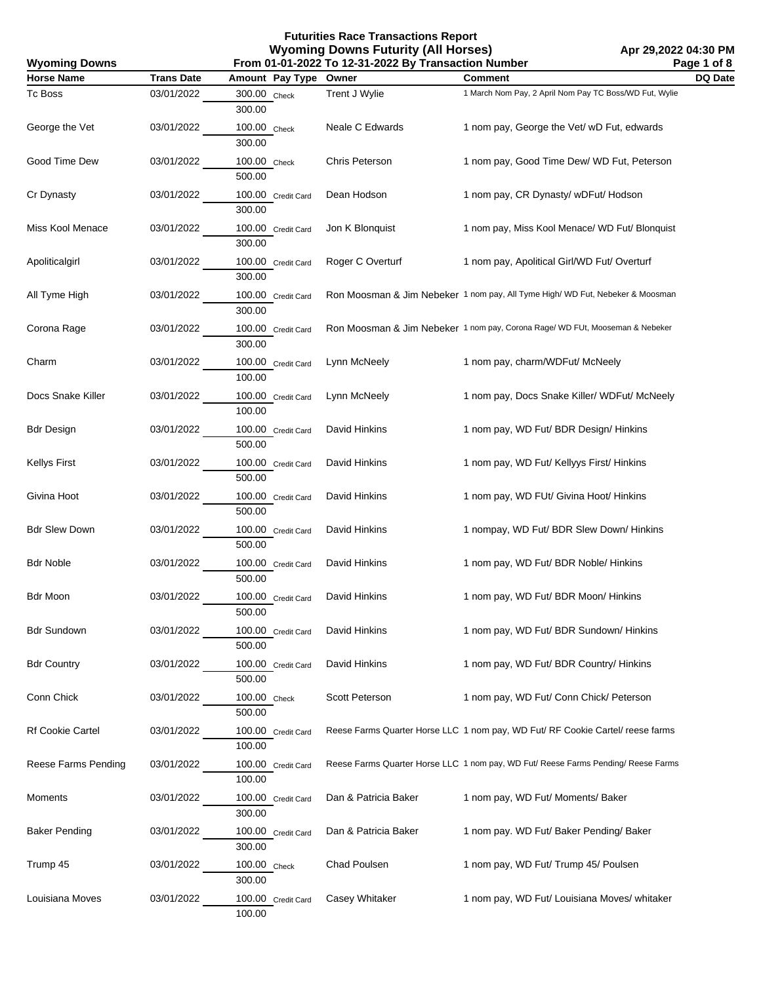| <b>Wyoming Downs</b>    | From 01-01-2022 To 12-31-2022 By Transaction Number |                              |                      |                                                                                   | Page 1 of 8 |
|-------------------------|-----------------------------------------------------|------------------------------|----------------------|-----------------------------------------------------------------------------------|-------------|
| <b>Horse Name</b>       | <b>Trans Date</b>                                   | Amount Pay Type              | Owner                | <b>Comment</b>                                                                    | DQ Date     |
| <b>Tc Boss</b>          | 03/01/2022                                          | 300.00 Check<br>300.00       | Trent J Wylie        | 1 March Nom Pay, 2 April Nom Pay TC Boss/WD Fut, Wylie                            |             |
| George the Vet          | 03/01/2022                                          | 100.00 Check<br>300.00       | Neale C Edwards      | 1 nom pay, George the Vet/ wD Fut, edwards                                        |             |
| Good Time Dew           | 03/01/2022                                          | 100.00 Check<br>500.00       | Chris Peterson       | 1 nom pay, Good Time Dew/ WD Fut, Peterson                                        |             |
| Cr Dynasty              | 03/01/2022                                          | 100.00 Credit Card<br>300.00 | Dean Hodson          | 1 nom pay, CR Dynasty/ wDFut/ Hodson                                              |             |
| Miss Kool Menace        | 03/01/2022                                          | 100.00 Credit Card<br>300.00 | Jon K Blonquist      | 1 nom pay, Miss Kool Menace/ WD Fut/ Blonquist                                    |             |
| Apoliticalgirl          | 03/01/2022                                          | 100.00 Credit Card<br>300.00 | Roger C Overturf     | 1 nom pay, Apolitical Girl/WD Fut/ Overturf                                       |             |
| All Tyme High           | 03/01/2022                                          | 100.00 Credit Card<br>300.00 |                      | Ron Moosman & Jim Nebeker 1 nom pay, All Tyme High/ WD Fut, Nebeker & Moosman     |             |
| Corona Rage             | 03/01/2022                                          | 100.00 Credit Card<br>300.00 |                      | Ron Moosman & Jim Nebeker 1 nom pay, Corona Rage/ WD FUt, Mooseman & Nebeker      |             |
| Charm                   | 03/01/2022                                          | 100.00 Credit Card<br>100.00 | Lynn McNeely         | 1 nom pay, charm/WDFut/ McNeely                                                   |             |
| Docs Snake Killer       | 03/01/2022                                          | 100.00 Credit Card<br>100.00 | Lynn McNeely         | 1 nom pay, Docs Snake Killer/ WDFut/ McNeely                                      |             |
| <b>Bdr Design</b>       | 03/01/2022                                          | 100.00 Credit Card<br>500.00 | David Hinkins        | 1 nom pay, WD Fut/ BDR Design/ Hinkins                                            |             |
| <b>Kellys First</b>     | 03/01/2022                                          | 100.00 Credit Card<br>500.00 | David Hinkins        | 1 nom pay, WD Fut/ Kellyys First/ Hinkins                                         |             |
| Givina Hoot             | 03/01/2022                                          | 100.00 Credit Card<br>500.00 | David Hinkins        | 1 nom pay, WD FUt/ Givina Hoot/ Hinkins                                           |             |
| <b>Bdr Slew Down</b>    | 03/01/2022                                          | 100.00 Credit Card<br>500.00 | David Hinkins        | 1 nompay, WD Fut/ BDR Slew Down/ Hinkins                                          |             |
| <b>Bdr Noble</b>        | 03/01/2022                                          | 100.00 Credit Card<br>500.00 | David Hinkins        | 1 nom pay, WD Fut/ BDR Noble/ Hinkins                                             |             |
| Bdr Moon                | 03/01/2022                                          | 100.00 Credit Card<br>500.00 | David Hinkins        | 1 nom pay, WD Fut/ BDR Moon/ Hinkins                                              |             |
| <b>Bdr Sundown</b>      | 03/01/2022                                          | 100.00 Credit Card<br>500.00 | David Hinkins        | 1 nom pay, WD Fut/ BDR Sundown/ Hinkins                                           |             |
| <b>Bdr Country</b>      | 03/01/2022                                          | 100.00 Credit Card<br>500.00 | David Hinkins        | 1 nom pay, WD Fut/ BDR Country/ Hinkins                                           |             |
| Conn Chick              | 03/01/2022                                          | 100.00 Check<br>500.00       | Scott Peterson       | 1 nom pay, WD Fut/ Conn Chick/ Peterson                                           |             |
| <b>Rf Cookie Cartel</b> | 03/01/2022                                          | 100.00 Credit Card<br>100.00 |                      | Reese Farms Quarter Horse LLC 1 nom pay, WD Fut/ RF Cookie Cartel/ reese farms    |             |
| Reese Farms Pending     | 03/01/2022                                          | 100.00 Credit Card<br>100.00 |                      | Reese Farms Quarter Horse LLC 1 nom pay, WD Fut/ Reese Farms Pending/ Reese Farms |             |
| Moments                 | 03/01/2022                                          | 100.00 Credit Card<br>300.00 | Dan & Patricia Baker | 1 nom pay, WD Fut/ Moments/ Baker                                                 |             |
| <b>Baker Pending</b>    | 03/01/2022                                          | 100.00 Credit Card<br>300.00 | Dan & Patricia Baker | 1 nom pay. WD Fut/ Baker Pending/ Baker                                           |             |
| Trump 45                | 03/01/2022                                          | 100.00 Check<br>300.00       | Chad Poulsen         | 1 nom pay, WD Fut/ Trump 45/ Poulsen                                              |             |
| Louisiana Moves         | 03/01/2022                                          | 100.00 Credit Card<br>100.00 | Casey Whitaker       | 1 nom pay, WD Fut/ Louisiana Moves/ whitaker                                      |             |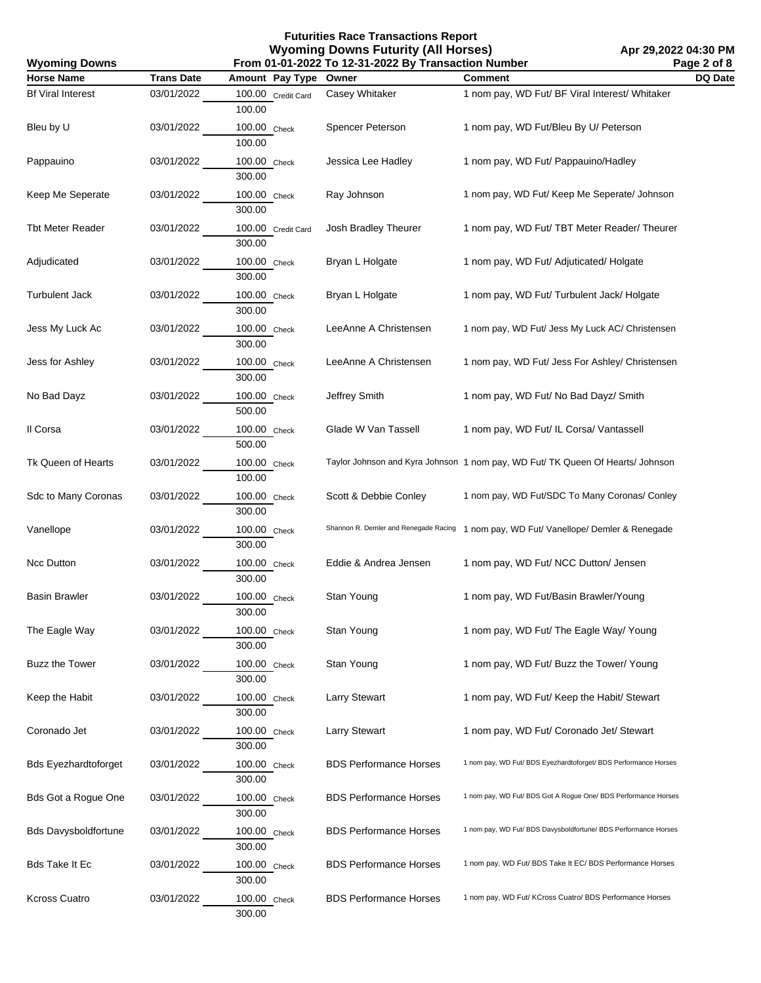| <b>Wyoming Downs</b>        | Page 2 of 8<br>From 01-01-2022 To 12-31-2022 By Transaction Number |                              |                               |                                                                                       |                |
|-----------------------------|--------------------------------------------------------------------|------------------------------|-------------------------------|---------------------------------------------------------------------------------------|----------------|
| <b>Horse Name</b>           | <b>Trans Date</b>                                                  | Amount Pay Type              | Owner                         | <b>Comment</b>                                                                        | <b>DQ Date</b> |
| <b>Bf Viral Interest</b>    | 03/01/2022                                                         | 100.00 Credit Card<br>100.00 | <b>Casey Whitaker</b>         | 1 nom pay, WD Fut/ BF Viral Interest/ Whitaker                                        |                |
| Bleu by U                   | 03/01/2022                                                         | 100.00 Check<br>100.00       | Spencer Peterson              | 1 nom pay, WD Fut/Bleu By U/ Peterson                                                 |                |
| Pappauino                   | 03/01/2022                                                         | 100.00 Check<br>300.00       | Jessica Lee Hadley            | 1 nom pay, WD Fut/ Pappauino/Hadley                                                   |                |
| Keep Me Seperate            | 03/01/2022                                                         | 100.00 Check<br>300.00       | Ray Johnson                   | 1 nom pay, WD Fut/ Keep Me Seperate/ Johnson                                          |                |
| <b>Tbt Meter Reader</b>     | 03/01/2022                                                         | 100.00 Credit Card<br>300.00 | Josh Bradley Theurer          | 1 nom pay, WD Fut/ TBT Meter Reader/ Theurer                                          |                |
| Adjudicated                 | 03/01/2022                                                         | 100.00 Check<br>300.00       | Bryan L Holgate               | 1 nom pay, WD Fut/ Adjuticated/ Holgate                                               |                |
| <b>Turbulent Jack</b>       | 03/01/2022                                                         | 100.00 Check<br>300.00       | Bryan L Holgate               | 1 nom pay, WD Fut/ Turbulent Jack/ Holgate                                            |                |
| Jess My Luck Ac             | 03/01/2022                                                         | 100.00 Check<br>300.00       | LeeAnne A Christensen         | 1 nom pay, WD Fut/ Jess My Luck AC/ Christensen                                       |                |
| Jess for Ashley             | 03/01/2022                                                         | 100.00 Check<br>300.00       | LeeAnne A Christensen         | 1 nom pay, WD Fut/ Jess For Ashley/ Christensen                                       |                |
| No Bad Dayz                 | 03/01/2022                                                         | 100.00 Check<br>500.00       | Jeffrey Smith                 | 1 nom pay, WD Fut/ No Bad Dayz/ Smith                                                 |                |
| Il Corsa                    | 03/01/2022                                                         | 100.00 Check<br>500.00       | Glade W Van Tassell           | 1 nom pay, WD Fut/ IL Corsa/ Vantassell                                               |                |
| Tk Queen of Hearts          | 03/01/2022                                                         | 100.00 Check<br>100.00       |                               | Taylor Johnson and Kyra Johnson 1 nom pay, WD Fut/ TK Queen Of Hearts/ Johnson        |                |
| Sdc to Many Coronas         | 03/01/2022                                                         | 100.00 Check<br>300.00       | Scott & Debbie Conley         | 1 nom pay, WD Fut/SDC To Many Coronas/ Conley                                         |                |
| Vanellope                   | 03/01/2022                                                         | 100.00 Check<br>300.00       |                               | Shannon R. Demler and Renegade Racing 1 nom pay, WD Fut/ Vanellope/ Demler & Renegade |                |
| Ncc Dutton                  | 03/01/2022                                                         | 100.00 Check<br>300.00       | Eddie & Andrea Jensen         | 1 nom pay, WD Fut/ NCC Dutton/ Jensen                                                 |                |
| <b>Basin Brawler</b>        | 03/01/2022                                                         | 100.00 Check<br>300.00       | Stan Young                    | 1 nom pay, WD Fut/Basin Brawler/Young                                                 |                |
| The Eagle Way               | 03/01/2022                                                         | 100.00 Check<br>300.00       | Stan Young                    | 1 nom pay, WD Fut/ The Eagle Way/ Young                                               |                |
| <b>Buzz the Tower</b>       | 03/01/2022                                                         | 100.00 Check<br>300.00       | Stan Young                    | 1 nom pay, WD Fut/ Buzz the Tower/ Young                                              |                |
| Keep the Habit              | 03/01/2022                                                         | 100.00 Check<br>300.00       | <b>Larry Stewart</b>          | 1 nom pay, WD Fut/ Keep the Habit/ Stewart                                            |                |
| Coronado Jet                | 03/01/2022                                                         | 100.00 Check<br>300.00       | <b>Larry Stewart</b>          | 1 nom pay, WD Fut/ Coronado Jet/ Stewart                                              |                |
| <b>Bds Eyezhardtoforget</b> | 03/01/2022                                                         | 100.00 Check<br>300.00       | <b>BDS Performance Horses</b> | 1 nom pay, WD Fut/ BDS Eyezhardtoforget/ BDS Performance Horses                       |                |
| <b>Bds Got a Rogue One</b>  | 03/01/2022                                                         | 100.00 Check<br>300.00       | <b>BDS Performance Horses</b> | 1 nom pay, WD Fut/ BDS Got A Rogue One/ BDS Performance Horses                        |                |
| <b>Bds Davysboldfortune</b> | 03/01/2022                                                         | 100.00 Check<br>300.00       | <b>BDS Performance Horses</b> | 1 nom pay, WD Fut/ BDS Davysboldfortune/ BDS Performance Horses                       |                |
| <b>Bds Take It Ec</b>       | 03/01/2022                                                         | 100.00 Check<br>300.00       | <b>BDS Performance Horses</b> | 1 nom pay, WD Fut/ BDS Take It EC/ BDS Performance Horses                             |                |
| <b>Kcross Cuatro</b>        | 03/01/2022                                                         | 100.00 Check<br>300.00       | <b>BDS Performance Horses</b> | 1 nom pay, WD Fut/ KCross Cuatro/ BDS Performance Horses                              |                |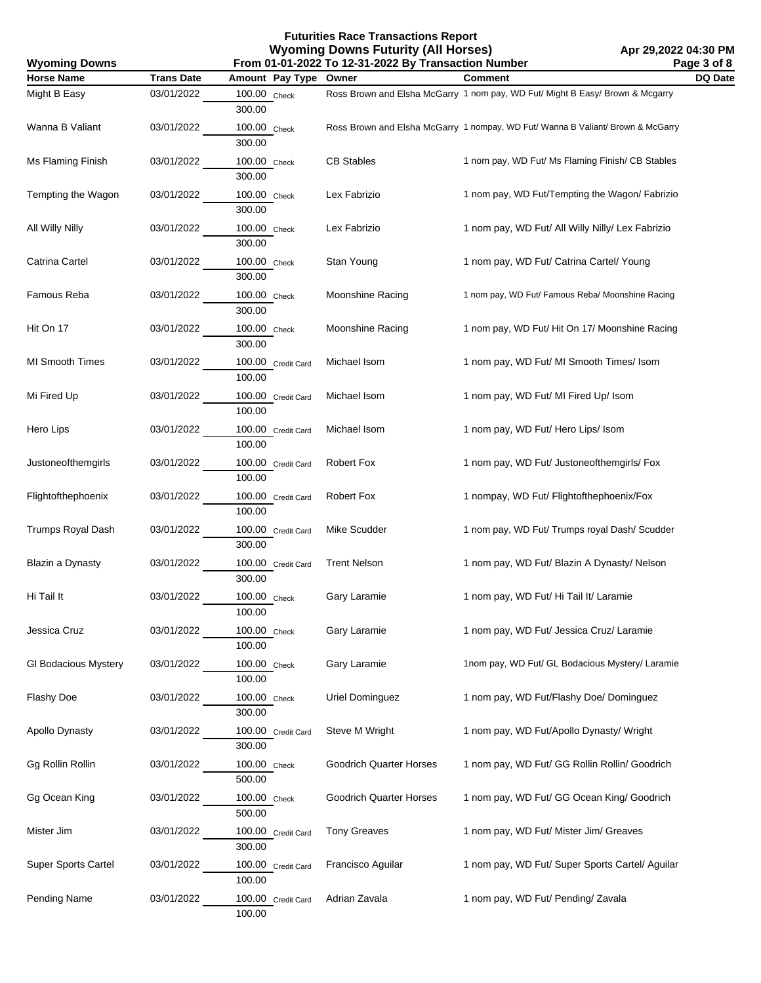| From 01-01-2022 To 12-31-2022 By Transaction Number<br><b>Wyoming Downs</b> |                   |                              |                                | Page 3 of 8                                                                     |         |
|-----------------------------------------------------------------------------|-------------------|------------------------------|--------------------------------|---------------------------------------------------------------------------------|---------|
| <b>Horse Name</b>                                                           | <b>Trans Date</b> | Amount Pay Type              | Owner                          | Comment                                                                         | DQ Date |
| Might B Easy                                                                | 03/01/2022        | 100.00 Check<br>300.00       |                                | Ross Brown and Elsha McGarry 1 nom pay, WD Fut/ Might B Easy/ Brown & Mcgarry   |         |
| Wanna B Valiant                                                             | 03/01/2022        | 100.00 Check<br>300.00       |                                | Ross Brown and Elsha McGarry 1 nompay, WD Fut/ Wanna B Valiant/ Brown & McGarry |         |
| Ms Flaming Finish                                                           | 03/01/2022        | 100.00 Check<br>300.00       | <b>CB Stables</b>              | 1 nom pay, WD Fut/ Ms Flaming Finish/ CB Stables                                |         |
| Tempting the Wagon                                                          | 03/01/2022        | 100.00 Check<br>300.00       | Lex Fabrizio                   | 1 nom pay, WD Fut/Tempting the Wagon/ Fabrizio                                  |         |
| All Willy Nilly                                                             | 03/01/2022        | 100.00 Check<br>300.00       | Lex Fabrizio                   | 1 nom pay, WD Fut/ All Willy Nilly/ Lex Fabrizio                                |         |
| Catrina Cartel                                                              | 03/01/2022        | 100.00 Check<br>300.00       | Stan Young                     | 1 nom pay, WD Fut/ Catrina Cartel/ Young                                        |         |
| Famous Reba                                                                 | 03/01/2022        | 100.00 Check<br>300.00       | Moonshine Racing               | 1 nom pay, WD Fut/ Famous Reba/ Moonshine Racing                                |         |
| Hit On 17                                                                   | 03/01/2022        | 100.00 Check<br>300.00       | Moonshine Racing               | 1 nom pay, WD Fut/ Hit On 17/ Moonshine Racing                                  |         |
| <b>MI Smooth Times</b>                                                      | 03/01/2022        | 100.00 Credit Card<br>100.00 | Michael Isom                   | 1 nom pay, WD Fut/ MI Smooth Times/ Isom                                        |         |
| Mi Fired Up                                                                 | 03/01/2022        | 100.00 Credit Card<br>100.00 | Michael Isom                   | 1 nom pay, WD Fut/ MI Fired Up/ Isom                                            |         |
| Hero Lips                                                                   | 03/01/2022        | 100.00 Credit Card<br>100.00 | Michael Isom                   | 1 nom pay, WD Fut/ Hero Lips/ Isom                                              |         |
| Justoneofthemgirls                                                          | 03/01/2022        | 100.00 Credit Card<br>100.00 | Robert Fox                     | 1 nom pay, WD Fut/ Justoneofthemgirls/ Fox                                      |         |
| Flightofthephoenix                                                          | 03/01/2022        | 100.00 Credit Card<br>100.00 | Robert Fox                     | 1 nompay, WD Fut/ Flightofthephoenix/Fox                                        |         |
| <b>Trumps Royal Dash</b>                                                    | 03/01/2022        | 100.00 Credit Card<br>300.00 | Mike Scudder                   | 1 nom pay, WD Fut/ Trumps royal Dash/ Scudder                                   |         |
| Blazin a Dynasty                                                            | 03/01/2022        | 100.00 Credit Card<br>300.00 | <b>Trent Nelson</b>            | 1 nom pay, WD Fut/ Blazin A Dynasty/ Nelson                                     |         |
| Hi Tail It                                                                  | 03/01/2022        | 100.00 Check<br>100.00       | Gary Laramie                   | 1 nom pay, WD Fut/ Hi Tail It/ Laramie                                          |         |
| Jessica Cruz                                                                | 03/01/2022        | 100.00 Check<br>100.00       | Gary Laramie                   | 1 nom pay, WD Fut/ Jessica Cruz/ Laramie                                        |         |
| <b>GI Bodacious Mystery</b>                                                 | 03/01/2022        | 100.00 Check<br>100.00       | Gary Laramie                   | 1nom pay, WD Fut/ GL Bodacious Mystery/ Laramie                                 |         |
| Flashy Doe                                                                  | 03/01/2022        | 100.00 Check<br>300.00       | Uriel Dominguez                | 1 nom pay, WD Fut/Flashy Doe/ Dominguez                                         |         |
| Apollo Dynasty                                                              | 03/01/2022        | 100.00 Credit Card<br>300.00 | Steve M Wright                 | 1 nom pay, WD Fut/Apollo Dynasty/ Wright                                        |         |
| Gg Rollin Rollin                                                            | 03/01/2022        | 100.00 Check<br>500.00       | <b>Goodrich Quarter Horses</b> | 1 nom pay, WD Fut/ GG Rollin Rollin/ Goodrich                                   |         |
| Gg Ocean King                                                               | 03/01/2022        | 100.00 Check<br>500.00       | <b>Goodrich Quarter Horses</b> | 1 nom pay, WD Fut/ GG Ocean King/ Goodrich                                      |         |
| Mister Jim                                                                  | 03/01/2022        | 100.00 Credit Card<br>300.00 | <b>Tony Greaves</b>            | 1 nom pay, WD Fut/ Mister Jim/ Greaves                                          |         |
| <b>Super Sports Cartel</b>                                                  | 03/01/2022        | 100.00 Credit Card<br>100.00 | Francisco Aguilar              | 1 nom pay, WD Fut/ Super Sports Cartel/ Aguilar                                 |         |
| Pending Name                                                                | 03/01/2022        | 100.00 Credit Card<br>100.00 | Adrian Zavala                  | 1 nom pay, WD Fut/ Pending/ Zavala                                              |         |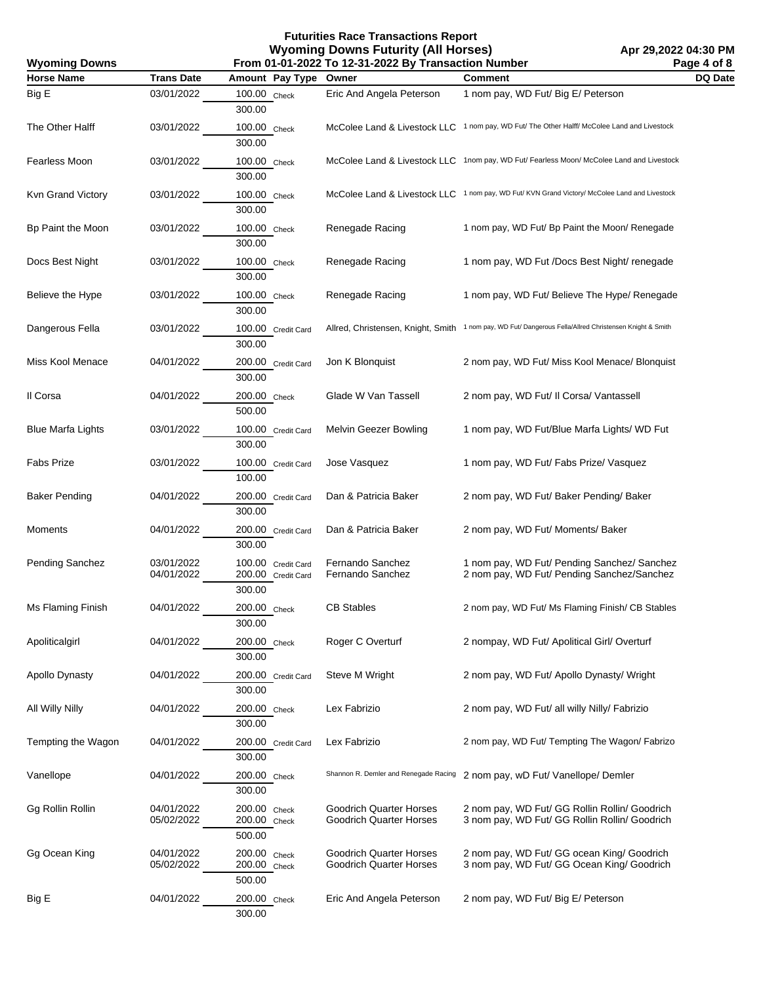| From 01-01-2022 To 12-31-2022 By Transaction Number<br><b>Wyoming Downs</b> |                          |                                                    |                                                    | Page 4 of 8                                                                                             |         |
|-----------------------------------------------------------------------------|--------------------------|----------------------------------------------------|----------------------------------------------------|---------------------------------------------------------------------------------------------------------|---------|
| <b>Horse Name</b>                                                           | <b>Trans Date</b>        | Amount Pay Type                                    | Owner                                              | <b>Comment</b>                                                                                          | DQ Date |
| Big E                                                                       | 03/01/2022               | 100.00 Check<br>300.00                             | Eric And Angela Peterson                           | 1 nom pay, WD Fut/ Big E/ Peterson                                                                      |         |
| The Other Halff                                                             | 03/01/2022               | 100.00 Check<br>300.00                             |                                                    | McColee Land & Livestock LLC 1 nom pay, WD Fut/ The Other Halff/ McColee Land and Livestock             |         |
| Fearless Moon                                                               | 03/01/2022               | 100.00 Check<br>300.00                             |                                                    | McColee Land & Livestock LLC 1nom pay, WD Fut/ Fearless Moon/ McColee Land and Livestock                |         |
| Kvn Grand Victory                                                           | 03/01/2022               | 100.00 Check<br>300.00                             |                                                    | McColee Land & Livestock LLC 1 nom pay, WD Fut/KVN Grand Victory/McColee Land and Livestock             |         |
| Bp Paint the Moon                                                           | 03/01/2022               | 100.00 Check<br>300.00                             | Renegade Racing                                    | 1 nom pay, WD Fut/ Bp Paint the Moon/ Renegade                                                          |         |
| Docs Best Night                                                             | 03/01/2022               | 100.00 Check<br>300.00                             | Renegade Racing                                    | 1 nom pay, WD Fut /Docs Best Night/ renegade                                                            |         |
| Believe the Hype                                                            | 03/01/2022               | 100.00 Check<br>300.00                             | Renegade Racing                                    | 1 nom pay, WD Fut/ Believe The Hype/ Renegade                                                           |         |
| Dangerous Fella                                                             | 03/01/2022               | 100.00 Credit Card<br>300.00                       |                                                    | Allred, Christensen, Knight, Smith 1 nom pay, WD Fut/ Dangerous Fella/Allred Christensen Knight & Smith |         |
| Miss Kool Menace                                                            | 04/01/2022               | 200.00 Credit Card<br>300.00                       | Jon K Blonquist                                    | 2 nom pay, WD Fut/ Miss Kool Menace/ Blonquist                                                          |         |
| Il Corsa                                                                    | 04/01/2022               | 200.00 Check<br>500.00                             | Glade W Van Tassell                                | 2 nom pay, WD Fut/ II Corsa/ Vantassell                                                                 |         |
| <b>Blue Marfa Lights</b>                                                    | 03/01/2022               | 100.00 Credit Card<br>300.00                       | Melvin Geezer Bowling                              | 1 nom pay, WD Fut/Blue Marfa Lights/ WD Fut                                                             |         |
| Fabs Prize                                                                  | 03/01/2022               | 100.00 Credit Card<br>100.00                       | Jose Vasquez                                       | 1 nom pay, WD Fut/ Fabs Prize/ Vasquez                                                                  |         |
| Baker Pending                                                               | 04/01/2022               | 200.00 Credit Card<br>300.00                       | Dan & Patricia Baker                               | 2 nom pay, WD Fut/ Baker Pending/ Baker                                                                 |         |
| Moments                                                                     | 04/01/2022               | 200.00 Credit Card<br>300.00                       | Dan & Patricia Baker                               | 2 nom pay, WD Fut/ Moments/ Baker                                                                       |         |
| Pending Sanchez                                                             | 03/01/2022<br>04/01/2022 | 100.00 Credit Card<br>200.00 Credit Card<br>300.00 | Fernando Sanchez<br>Fernando Sanchez               | 1 nom pay, WD Fut/ Pending Sanchez/ Sanchez<br>2 nom pay, WD Fut/ Pending Sanchez/Sanchez               |         |
| Ms Flaming Finish                                                           | 04/01/2022               | 200.00 Check<br>300.00                             | <b>CB Stables</b>                                  | 2 nom pay, WD Fut/ Ms Flaming Finish/ CB Stables                                                        |         |
| Apoliticalgirl                                                              | 04/01/2022               | 200.00 Check<br>300.00                             | Roger C Overturf                                   | 2 nompay, WD Fut/ Apolitical Girl/ Overturf                                                             |         |
| Apollo Dynasty                                                              | 04/01/2022               | 200.00 Credit Card<br>300.00                       | Steve M Wright                                     | 2 nom pay, WD Fut/ Apollo Dynasty/ Wright                                                               |         |
| All Willy Nilly                                                             | 04/01/2022               | 200.00 Check<br>300.00                             | Lex Fabrizio                                       | 2 nom pay, WD Fut/ all willy Nilly/ Fabrizio                                                            |         |
| Tempting the Wagon                                                          | 04/01/2022               | 200.00 Credit Card<br>300.00                       | Lex Fabrizio                                       | 2 nom pay, WD Fut/ Tempting The Wagon/ Fabrizo                                                          |         |
| Vanellope                                                                   | 04/01/2022               | 200.00 Check<br>300.00                             | Shannon R. Demler and Renegade Racing              | 2 nom pay, wD Fut/ Vanellope/ Demler                                                                    |         |
| Gg Rollin Rollin                                                            | 04/01/2022<br>05/02/2022 | 200.00 Check<br>200.00 Check<br>500.00             | Goodrich Quarter Horses<br>Goodrich Quarter Horses | 2 nom pay, WD Fut/ GG Rollin Rollin/ Goodrich<br>3 nom pay, WD Fut/ GG Rollin Rollin/ Goodrich          |         |
| Gg Ocean King                                                               | 04/01/2022<br>05/02/2022 | 200.00 Check<br>200.00 Check<br>500.00             | Goodrich Quarter Horses<br>Goodrich Quarter Horses | 2 nom pay, WD Fut/ GG ocean King/ Goodrich<br>3 nom pay, WD Fut/ GG Ocean King/ Goodrich                |         |
| Big E                                                                       | 04/01/2022               | 200.00 Check<br>300.00                             | Eric And Angela Peterson                           | 2 nom pay, WD Fut/ Big E/ Peterson                                                                      |         |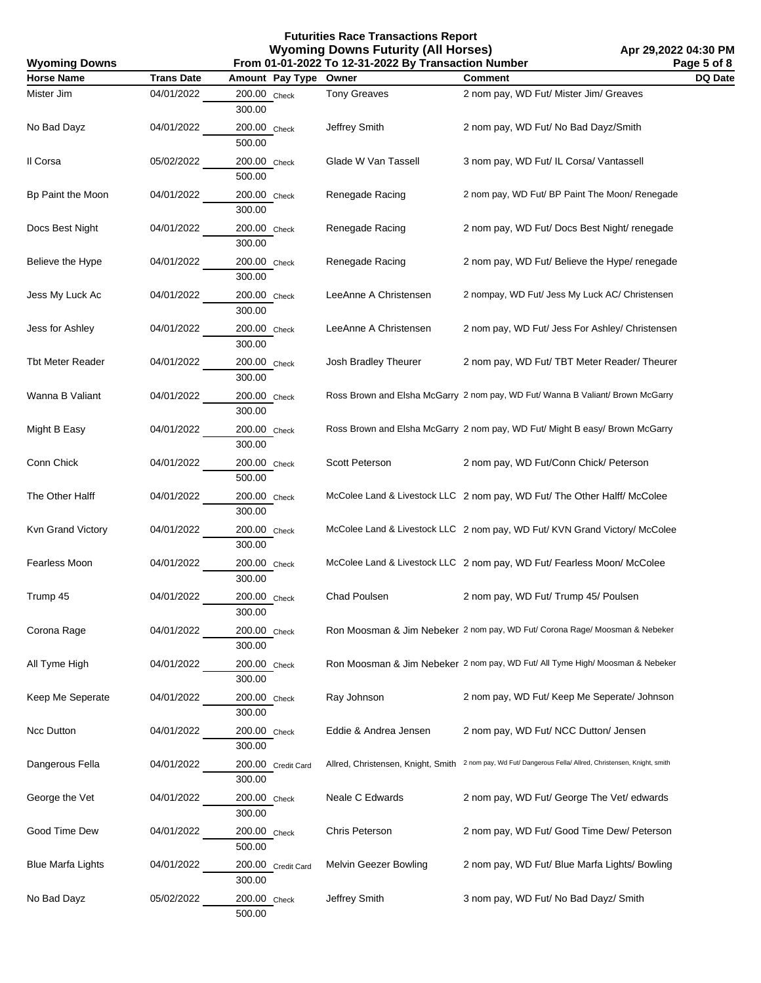**Apr 29,2022 04:30 PM Page 5 of 8**

| <b>Wyoming Downs</b>     | From 01-01-2022 To 12-31-2022 By Transaction Number<br>Page 5 of 8 |                              |                       |                                                                                                           |         |
|--------------------------|--------------------------------------------------------------------|------------------------------|-----------------------|-----------------------------------------------------------------------------------------------------------|---------|
| <b>Horse Name</b>        | <b>Trans Date</b>                                                  | Amount Pay Type Owner        |                       | Comment                                                                                                   | DQ Date |
| Mister Jim               | 04/01/2022                                                         | 200.00 Check<br>300.00       | <b>Tony Greaves</b>   | 2 nom pay, WD Fut/ Mister Jim/ Greaves                                                                    |         |
| No Bad Dayz              | 04/01/2022                                                         | 200.00 Check<br>500.00       | Jeffrey Smith         | 2 nom pay, WD Fut/ No Bad Dayz/Smith                                                                      |         |
| Il Corsa                 | 05/02/2022                                                         | 200.00 Check<br>500.00       | Glade W Van Tassell   | 3 nom pay, WD Fut/ IL Corsa/ Vantassell                                                                   |         |
| Bp Paint the Moon        | 04/01/2022                                                         | 200.00 Check<br>300.00       | Renegade Racing       | 2 nom pay, WD Fut/ BP Paint The Moon/ Renegade                                                            |         |
| Docs Best Night          | 04/01/2022                                                         | 200.00 Check<br>300.00       | Renegade Racing       | 2 nom pay, WD Fut/ Docs Best Night/ renegade                                                              |         |
| Believe the Hype         | 04/01/2022                                                         | 200.00 Check<br>300.00       | Renegade Racing       | 2 nom pay, WD Fut/ Believe the Hype/ renegade                                                             |         |
| Jess My Luck Ac          | 04/01/2022                                                         | 200.00 Check<br>300.00       | LeeAnne A Christensen | 2 nompay, WD Fut/ Jess My Luck AC/ Christensen                                                            |         |
| Jess for Ashley          | 04/01/2022                                                         | 200.00 Check<br>300.00       | LeeAnne A Christensen | 2 nom pay, WD Fut/ Jess For Ashley/ Christensen                                                           |         |
| Tbt Meter Reader         | 04/01/2022                                                         | 200.00 Check<br>300.00       | Josh Bradley Theurer  | 2 nom pay, WD Fut/ TBT Meter Reader/ Theurer                                                              |         |
| Wanna B Valiant          | 04/01/2022                                                         | 200.00 Check<br>300.00       |                       | Ross Brown and Elsha McGarry 2 nom pay, WD Fut/ Wanna B Valiant/ Brown McGarry                            |         |
| Might B Easy             | 04/01/2022                                                         | 200.00 Check<br>300.00       |                       | Ross Brown and Elsha McGarry 2 nom pay, WD Fut/ Might B easy/ Brown McGarry                               |         |
| Conn Chick               | 04/01/2022                                                         | 200.00 Check<br>500.00       | Scott Peterson        | 2 nom pay, WD Fut/Conn Chick/ Peterson                                                                    |         |
| The Other Halff          | 04/01/2022                                                         | 200.00 Check<br>300.00       |                       | McColee Land & Livestock LLC 2 nom pay, WD Fut/ The Other Halff/ McColee                                  |         |
| Kvn Grand Victory        | 04/01/2022                                                         | 200.00 Check<br>300.00       |                       | McColee Land & Livestock LLC 2 nom pay, WD Fut/ KVN Grand Victory/ McColee                                |         |
| Fearless Moon            | 04/01/2022                                                         | 200.00 Check<br>300.00       |                       | McColee Land & Livestock LLC 2 nom pay, WD Fut/ Fearless Moon/ McColee                                    |         |
| Trump 45                 | 04/01/2022                                                         | 200.00 Check<br>300.00       | Chad Poulsen          | 2 nom pay, WD Fut/ Trump 45/ Poulsen                                                                      |         |
| Corona Rage              | 04/01/2022                                                         | 200.00 Check<br>300.00       |                       | Ron Moosman & Jim Nebeker 2 nom pay, WD Fut/ Corona Rage/ Moosman & Nebeker                               |         |
| All Tyme High            | 04/01/2022                                                         | 200.00 Check<br>300.00       |                       | Ron Moosman & Jim Nebeker 2 nom pay, WD Fut/ All Tyme High/ Moosman & Nebeker                             |         |
| Keep Me Seperate         | 04/01/2022                                                         | 200.00 Check<br>300.00       | Ray Johnson           | 2 nom pay, WD Fut/ Keep Me Seperate/ Johnson                                                              |         |
| Ncc Dutton               | 04/01/2022                                                         | 200.00 Check<br>300.00       | Eddie & Andrea Jensen | 2 nom pay, WD Fut/ NCC Dutton/ Jensen                                                                     |         |
| Dangerous Fella          | 04/01/2022                                                         | 200.00 Credit Card<br>300.00 |                       | Allred, Christensen, Knight, Smith 2 nom pay, Wd Fut/ Dangerous Fella/ Allred, Christensen, Knight, smith |         |
| George the Vet           | 04/01/2022                                                         | 200.00 Check<br>300.00       | Neale C Edwards       | 2 nom pay, WD Fut/ George The Vet/ edwards                                                                |         |
| Good Time Dew            | 04/01/2022                                                         | 200.00 Check<br>500.00       | Chris Peterson        | 2 nom pay, WD Fut/ Good Time Dew/ Peterson                                                                |         |
| <b>Blue Marfa Lights</b> | 04/01/2022                                                         | 200.00 Credit Card<br>300.00 | Melvin Geezer Bowling | 2 nom pay, WD Fut/ Blue Marfa Lights/ Bowling                                                             |         |
| No Bad Dayz              | 05/02/2022                                                         | 200.00 Check<br>500.00       | Jeffrey Smith         | 3 nom pay, WD Fut/ No Bad Dayz/ Smith                                                                     |         |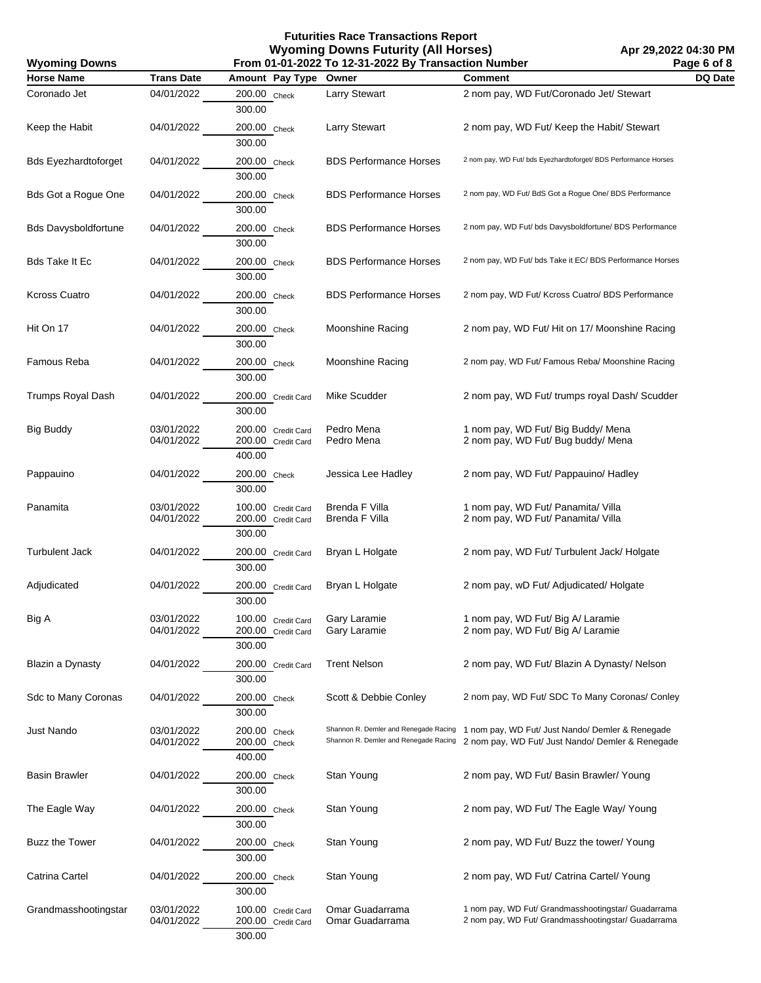**Apr 29,2022 04:30 PM Page 6 of 8**

| <b>Wyoming Downs</b>        | From 01-01-2022 To 12-31-2022 By Transaction Number |                                                    |                                                                                |                                                                                                            |         |
|-----------------------------|-----------------------------------------------------|----------------------------------------------------|--------------------------------------------------------------------------------|------------------------------------------------------------------------------------------------------------|---------|
| <b>Horse Name</b>           | <b>Trans Date</b>                                   | Amount Pay Type                                    | Owner                                                                          | <b>Comment</b>                                                                                             | DQ Date |
| Coronado Jet                | 04/01/2022                                          | 200.00 Check<br>300.00                             | <b>Larry Stewart</b>                                                           | 2 nom pay, WD Fut/Coronado Jet/ Stewart                                                                    |         |
| Keep the Habit              | 04/01/2022                                          | 200.00 Check<br>300.00                             | <b>Larry Stewart</b>                                                           | 2 nom pay, WD Fut/ Keep the Habit/ Stewart                                                                 |         |
| <b>Bds Eyezhardtoforget</b> | 04/01/2022                                          | 200.00 Check<br>300.00                             | <b>BDS Performance Horses</b>                                                  | 2 nom pay, WD Fut/ bds Eyezhardtoforget/ BDS Performance Horses                                            |         |
| <b>Bds Got a Rogue One</b>  | 04/01/2022                                          | 200.00 Check<br>300.00                             | <b>BDS Performance Horses</b>                                                  | 2 nom pay, WD Fut/ BdS Got a Rogue One/ BDS Performance                                                    |         |
| <b>Bds Davysboldfortune</b> | 04/01/2022                                          | 200.00 Check<br>300.00                             | <b>BDS Performance Horses</b>                                                  | 2 nom pay, WD Fut/ bds Davysboldfortune/ BDS Performance                                                   |         |
| Bds Take It Ec              | 04/01/2022                                          | 200.00 Check<br>300.00                             | <b>BDS Performance Horses</b>                                                  | 2 nom pay, WD Fut/ bds Take it EC/ BDS Performance Horses                                                  |         |
| <b>Kcross Cuatro</b>        | 04/01/2022                                          | 200.00 Check<br>300.00                             | <b>BDS Performance Horses</b>                                                  | 2 nom pay, WD Fut/ Kcross Cuatro/ BDS Performance                                                          |         |
| Hit On 17                   | 04/01/2022                                          | 200.00 Check<br>300.00                             | Moonshine Racing                                                               | 2 nom pay, WD Fut/ Hit on 17/ Moonshine Racing                                                             |         |
| Famous Reba                 | 04/01/2022                                          | 200.00 Check<br>300.00                             | Moonshine Racing                                                               | 2 nom pay, WD Fut/ Famous Reba/ Moonshine Racing                                                           |         |
| Trumps Royal Dash           | 04/01/2022                                          | 200.00 Credit Card<br>300.00                       | Mike Scudder                                                                   | 2 nom pay, WD Fut/ trumps royal Dash/ Scudder                                                              |         |
| <b>Big Buddy</b>            | 03/01/2022<br>04/01/2022                            | 200.00 Credit Card<br>200.00 Credit Card<br>400.00 | Pedro Mena<br>Pedro Mena                                                       | 1 nom pay, WD Fut/ Big Buddy/ Mena<br>2 nom pay, WD Fut/ Bug buddy/ Mena                                   |         |
| Pappauino                   | 04/01/2022                                          | 200.00 Check<br>300.00                             | Jessica Lee Hadley                                                             | 2 nom pay, WD Fut/ Pappauino/ Hadley                                                                       |         |
| Panamita                    | 03/01/2022<br>04/01/2022                            | 100.00 Credit Card<br>200.00 Credit Card<br>300.00 | Brenda F Villa<br>Brenda F Villa                                               | 1 nom pay, WD Fut/ Panamita/ Villa<br>2 nom pay, WD Fut/ Panamita/ Villa                                   |         |
| <b>Turbulent Jack</b>       | 04/01/2022                                          | 200.00 Credit Card<br>300.00                       | Bryan L Holgate                                                                | 2 nom pay, WD Fut/ Turbulent Jack/ Holgate                                                                 |         |
| Adjudicated                 | 04/01/2022                                          | 200.00 Credit Card<br>300.00                       | Bryan L Holgate                                                                | 2 nom pay, wD Fut/ Adjudicated/ Holgate                                                                    |         |
| Big A                       | 03/01/2022<br>04/01/2022                            | 100.00 Credit Card<br>200.00 Credit Card<br>300.00 | Gary Laramie<br>Gary Laramie                                                   | 1 nom pay, WD Fut/ Big A/ Laramie<br>2 nom pay, WD Fut/ Big A/ Laramie                                     |         |
| Blazin a Dynasty            | 04/01/2022                                          | 200.00 Credit Card<br>300.00                       | <b>Trent Nelson</b>                                                            | 2 nom pay, WD Fut/ Blazin A Dynasty/ Nelson                                                                |         |
| Sdc to Many Coronas         | 04/01/2022                                          | 200.00 Check<br>300.00                             | Scott & Debbie Conley                                                          | 2 nom pay, WD Fut/ SDC To Many Coronas/ Conley                                                             |         |
| Just Nando                  | 03/01/2022<br>04/01/2022                            | 200.00 Check<br>200.00 Check<br>400.00             | Shannon R. Demler and Renegade Racing<br>Shannon R. Demler and Renegade Racing | 1 nom pay, WD Fut/ Just Nando/ Demler & Renegade<br>2 nom pay, WD Fut/ Just Nando/ Demler & Renegade       |         |
| Basin Brawler               | 04/01/2022                                          | 200.00 Check<br>300.00                             | Stan Young                                                                     | 2 nom pay, WD Fut/ Basin Brawler/ Young                                                                    |         |
| The Eagle Way               | 04/01/2022                                          | 200.00 Check<br>300.00                             | Stan Young                                                                     | 2 nom pay, WD Fut/ The Eagle Way/ Young                                                                    |         |
| Buzz the Tower              | 04/01/2022                                          | 200.00 Check<br>300.00                             | Stan Young                                                                     | 2 nom pay, WD Fut/ Buzz the tower/ Young                                                                   |         |
| Catrina Cartel              | 04/01/2022                                          | 200.00 Check<br>300.00                             | Stan Young                                                                     | 2 nom pay, WD Fut/ Catrina Cartel/ Young                                                                   |         |
| Grandmasshootingstar        | 03/01/2022<br>04/01/2022                            | 100.00 Credit Card<br>200.00 Credit Card<br>300.00 | Omar Guadarrama<br>Omar Guadarrama                                             | 1 nom pay, WD Fut/ Grandmasshootingstar/ Guadarrama<br>2 nom pay, WD Fut/ Grandmasshootingstar/ Guadarrama |         |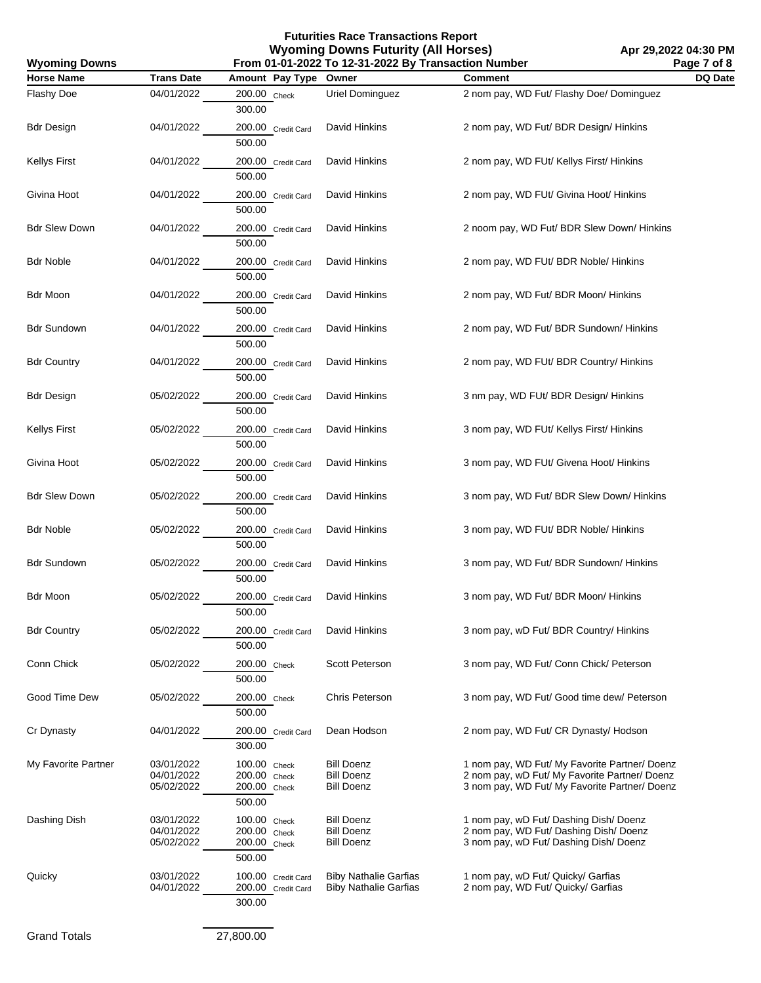| <b>Wyoming Downs</b> | From 01-01-2022 To 12-31-2022 By Transaction Number<br>Page 7 of 8 |                                                        |                                                              |                                                                                                                                                 |         |
|----------------------|--------------------------------------------------------------------|--------------------------------------------------------|--------------------------------------------------------------|-------------------------------------------------------------------------------------------------------------------------------------------------|---------|
| <b>Horse Name</b>    | <b>Trans Date</b>                                                  | Amount Pay Type                                        | Owner                                                        | <b>Comment</b>                                                                                                                                  | DQ Date |
| Flashy Doe           | 04/01/2022                                                         | 200.00 Check<br>300.00                                 | <b>Uriel Dominguez</b>                                       | 2 nom pay, WD Fut/ Flashy Doe/ Dominguez                                                                                                        |         |
| <b>Bdr Design</b>    | 04/01/2022                                                         | 200.00 Credit Card<br>500.00                           | David Hinkins                                                | 2 nom pay, WD Fut/ BDR Design/ Hinkins                                                                                                          |         |
| <b>Kellys First</b>  | 04/01/2022                                                         | 200.00 Credit Card<br>500.00                           | David Hinkins                                                | 2 nom pay, WD FUt/ Kellys First/ Hinkins                                                                                                        |         |
| Givina Hoot          | 04/01/2022                                                         | 200.00 Credit Card<br>500.00                           | David Hinkins                                                | 2 nom pay, WD FUt/ Givina Hoot/ Hinkins                                                                                                         |         |
| <b>Bdr Slew Down</b> | 04/01/2022                                                         | 200.00 Credit Card<br>500.00                           | David Hinkins                                                | 2 noom pay, WD Fut/ BDR Slew Down/ Hinkins                                                                                                      |         |
| <b>Bdr Noble</b>     | 04/01/2022                                                         | 200.00 Credit Card<br>500.00                           | David Hinkins                                                | 2 nom pay, WD FUt/ BDR Noble/ Hinkins                                                                                                           |         |
| Bdr Moon             | 04/01/2022                                                         | 200.00 Credit Card<br>500.00                           | David Hinkins                                                | 2 nom pay, WD Fut/ BDR Moon/ Hinkins                                                                                                            |         |
| Bdr Sundown          | 04/01/2022                                                         | 200.00 Credit Card<br>500.00                           | David Hinkins                                                | 2 nom pay, WD Fut/ BDR Sundown/ Hinkins                                                                                                         |         |
| <b>Bdr Country</b>   | 04/01/2022                                                         | 200.00 Credit Card<br>500.00                           | David Hinkins                                                | 2 nom pay, WD FUt/ BDR Country/ Hinkins                                                                                                         |         |
| <b>Bdr Design</b>    | 05/02/2022                                                         | 200.00 Credit Card<br>500.00                           | David Hinkins                                                | 3 nm pay, WD FUt/ BDR Design/ Hinkins                                                                                                           |         |
| <b>Kellys First</b>  | 05/02/2022                                                         | 200.00 Credit Card<br>500.00                           | David Hinkins                                                | 3 nom pay, WD FUt/ Kellys First/ Hinkins                                                                                                        |         |
| Givina Hoot          | 05/02/2022                                                         | 200.00 Credit Card<br>500.00                           | David Hinkins                                                | 3 nom pay, WD FUt/ Givena Hoot/ Hinkins                                                                                                         |         |
| <b>Bdr Slew Down</b> | 05/02/2022                                                         | 200.00 Credit Card<br>500.00                           | David Hinkins                                                | 3 nom pay, WD Fut/ BDR Slew Down/ Hinkins                                                                                                       |         |
| <b>Bdr Noble</b>     | 05/02/2022                                                         | 200.00 Credit Card<br>500.00                           | David Hinkins                                                | 3 nom pay, WD FUt/ BDR Noble/ Hinkins                                                                                                           |         |
| Bdr Sundown          | 05/02/2022                                                         | 200.00 Credit Card<br>500.00                           | David Hinkins                                                | 3 nom pay, WD Fut/ BDR Sundown/ Hinkins                                                                                                         |         |
| Bdr Moon             | 05/02/2022                                                         | 200.00 Credit Card<br>500.00                           | David Hinkins                                                | 3 nom pay, WD Fut/ BDR Moon/ Hinkins                                                                                                            |         |
| <b>Bdr Country</b>   | 05/02/2022                                                         | 200.00 Credit Card<br>500.00                           | David Hinkins                                                | 3 nom pay, wD Fut/ BDR Country/ Hinkins                                                                                                         |         |
| Conn Chick           | 05/02/2022                                                         | 200.00 Check<br>500.00                                 | Scott Peterson                                               | 3 nom pay, WD Fut/ Conn Chick/ Peterson                                                                                                         |         |
| Good Time Dew        | 05/02/2022                                                         | 200.00 Check<br>500.00                                 | Chris Peterson                                               | 3 nom pay, WD Fut/ Good time dew/ Peterson                                                                                                      |         |
| Cr Dynasty           | 04/01/2022                                                         | 200.00 Credit Card<br>300.00                           | Dean Hodson                                                  | 2 nom pay, WD Fut/ CR Dynasty/ Hodson                                                                                                           |         |
| My Favorite Partner  | 03/01/2022<br>04/01/2022<br>05/02/2022                             | 100.00 Check<br>200.00 Check<br>200.00 Check<br>500.00 | <b>Bill Doenz</b><br><b>Bill Doenz</b><br><b>Bill Doenz</b>  | 1 nom pay, WD Fut/ My Favorite Partner/ Doenz<br>2 nom pay, wD Fut/ My Favorite Partner/ Doenz<br>3 nom pay, WD Fut/ My Favorite Partner/ Doenz |         |
| Dashing Dish         | 03/01/2022<br>04/01/2022<br>05/02/2022                             | 100.00 Check<br>200.00 Check<br>200.00 Check<br>500.00 | <b>Bill Doenz</b><br><b>Bill Doenz</b><br><b>Bill Doenz</b>  | 1 nom pay, wD Fut/ Dashing Dish/ Doenz<br>2 nom pay, WD Fut/ Dashing Dish/ Doenz<br>3 nom pay, wD Fut/ Dashing Dish/ Doenz                      |         |
| Quicky               | 03/01/2022<br>04/01/2022                                           | 100.00 Credit Card<br>200.00 Credit Card<br>300.00     | <b>Biby Nathalie Garfias</b><br><b>Biby Nathalie Garfias</b> | 1 nom pay, wD Fut/ Quicky/ Garfias<br>2 nom pay, WD Fut/ Quicky/ Garfias                                                                        |         |